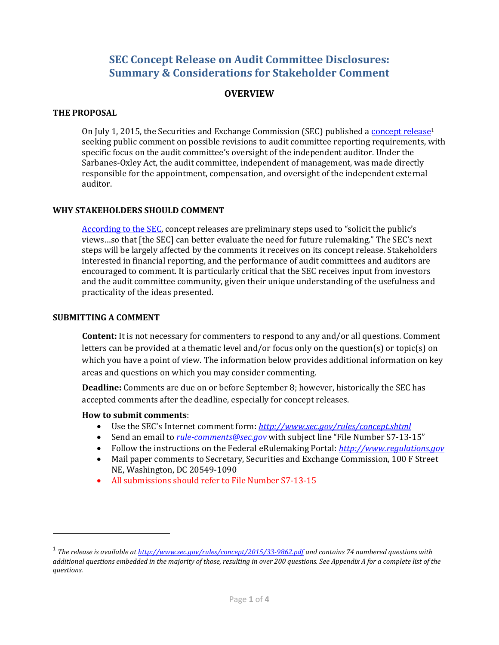## **SEC Concept Release on Audit Committee Disclosures: Summary & Considerations for Stakeholder Comment**

## **OVERVIEW**

## **THE PROPOSAL**

On July 1, 2015, the Securities and Exchange Commission (SEC) published a [concept release](http://www.sec.gov/rules/concept/2015/33-9862.pdf)<sup>1</sup> seeking public comment on possible revisions to audit committee reporting requirements, with specific focus on the audit committee's oversight of the independent auditor. Under the Sarbanes-Oxley Act, the audit committee, independent of management, was made directly responsible for the appointment, compensation, and oversight of the independent external auditor.

## **WHY STAKEHOLDERS SHOULD COMMENT**

[According to](http://www.sec.gov/rules/concept.shtml) the SEC, concept releases are preliminary steps used to "solicit the public's views…so that [the SEC] can better evaluate the need for future rulemaking." The SEC's next steps will be largely affected by the comments it receives on its concept release. Stakeholders interested in financial reporting, and the performance of audit committees and auditors are encouraged to comment. It is particularly critical that the SEC receives input from investors and the audit committee community, given their unique understanding of the usefulness and practicality of the ideas presented.

#### **SUBMITTING A COMMENT**

 $\overline{a}$ 

**Content:** It is not necessary for commenters to respond to any and/or all questions. Comment letters can be provided at a thematic level and/or focus only on the question(s) or topic(s) on which you have a point of view. The information below provides additional information on key areas and questions on which you may consider commenting.

**Deadline:** Comments are due on or before September 8; however, historically the SEC has accepted comments after the deadline, especially for concept releases.

### **How to submit comments**:

- Use the SEC's Internet comment form: *<http://www.sec.gov/rules/concept.shtml>*
- Send an email to *[rule-comments@sec.gov](mailto:rule-comments@sec.gov)* with subject line "File Number S7-13-15"
- Follow the instructions on the Federal eRulemaking Portal: *[http://www.regulations.gov](http://www.regulations.gov/)*
- Mail paper comments to Secretary, Securities and Exchange Commission, 100 F Street NE, Washington, DC 20549-1090
- All submissions should refer to File Number S7-13-15

<sup>1</sup> *The release is available a[t http://www.sec.gov/rules/concept/2015/33-9862.pdf](http://www.sec.gov/rules/concept/2015/33-9862.pdf) and contains 74 numbered questions with additional questions embedded in the majority of those, resulting in over 200 questions. See Appendix A for a complete list of the questions.*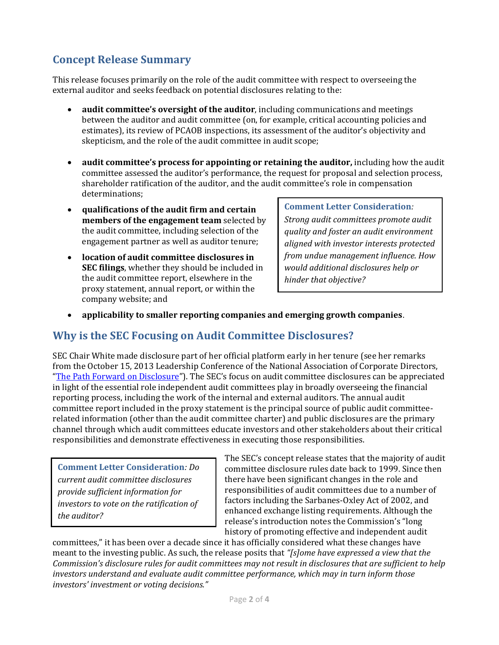# **Concept Release Summary**

This release focuses primarily on the role of the audit committee with respect to overseeing the external auditor and seeks feedback on potential disclosures relating to the:

- **audit committee's oversight of the auditor**, including communications and meetings between the auditor and audit committee (on, for example, critical accounting policies and estimates), its review of PCAOB inspections, its assessment of the auditor's objectivity and skepticism, and the role of the audit committee in audit scope;
- **audit committee's process for appointing or retaining the auditor,** including how the audit committee assessed the auditor's performance, the request for proposal and selection process, shareholder ratification of the auditor, and the audit committee's role in compensation determinations;
- **qualifications of the audit firm and certain members of the engagement team** selected by the audit committee, including selection of the engagement partner as well as auditor tenure;
- **location of audit committee disclosures in SEC filings**, whether they should be included in the audit committee report, elsewhere in the proxy statement, annual report, or within the company website; and

**Comment Letter Consideration***:* 

*Strong audit committees promote audit quality and foster an audit environment aligned with investor interests protected from undue management influence. How would additional disclosures help or hinder that objective?*

**applicability to smaller reporting companies and emerging growth companies**.

# **Why is the SEC Focusing on Audit Committee Disclosures?**

SEC Chair White made disclosure part of her official platform early in her tenure (see her remarks from the October 15, 2013 Leadership Conference of the National Association of Corporate Directors, "[The Path Forward on Disclosure](http://www.sec.gov/News/Speech/Detail/Speech/1370539878806#.UoJQ8ego6rR)"). The SEC's focus on audit committee disclosures can be appreciated in light of the essential role independent audit committees play in broadly overseeing the financial reporting process, including the work of the internal and external auditors. The annual audit committee report included in the proxy statement is the principal source of public audit committeerelated information (other than the audit committee charter) and public disclosures are the primary channel through which audit committees educate investors and other stakeholders about their critical responsibilities and demonstrate effectiveness in executing those responsibilities.

**Comment Letter Consideration***: Do current audit committee disclosures provide sufficient information for investors to vote on the ratification of the auditor?*

The SEC's concept release states that the majority of audit committee disclosure rules date back to 1999. Since then there have been significant changes in the role and responsibilities of audit committees due to a number of factors including the Sarbanes-Oxley Act of 2002, and enhanced exchange listing requirements. Although the release's introduction notes the Commission's "long history of promoting effective and independent audit

committees," it has been over a decade since it has officially considered what these changes have meant to the investing public. As such, the release posits that *"[s]ome have expressed a view that the Commission's disclosure rules for audit committees may not result in disclosures that are sufficient to help investors understand and evaluate audit committee performance, which may in turn inform those investors' investment or voting decisions."*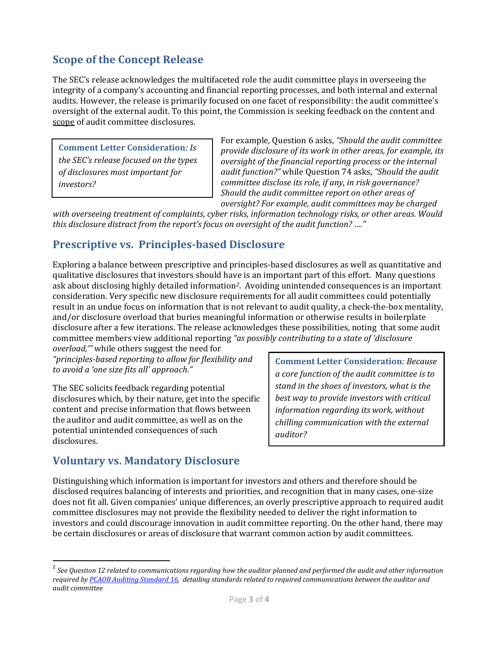# **Scope of the Concept Release**

The SEC's release acknowledges the multifaceted role the audit committee plays in overseeing the integrity of a company's accounting and financial reporting processes, and both internal and external audits. However, the release is primarily focused on one facet of responsibility: the audit committee's oversight of the external audit. To this point, the Commission is seeking feedback on the content and scope of audit committee disclosures.

**Comment Letter Consideration***: Is the SEC's release focused on the types of disclosures most important for investors?*

For example, Question 6 asks, *"Should the audit committee provide disclosure of its work in other areas, for example, its oversight of the financial reporting process or the internal audit function?"* while Question 74 asks, *"Should the audit committee disclose its role, if any, in risk governance? Should the audit committee report on other areas of oversight? For example, audit committees may be charged* 

*with overseeing treatment of complaints, cyber risks, information technology risks, or other areas. Would this disclosure distract from the report's focus on oversight of the audit function? …."*

# **Prescriptive vs. Principles-based Disclosure**

Exploring a balance between prescriptive and principles-based disclosures as well as quantitative and qualitative disclosures that investors should have is an important part of this effort. Many questions ask about disclosing highly detailed information*2*. Avoiding unintended consequences is an important consideration. Very specific new disclosure requirements for all audit committees could potentially result in an undue focus on information that is not relevant to audit quality, a check-the-box mentality, and/or disclosure overload that buries meaningful information or otherwise results in boilerplate disclosure after a few iterations. The release acknowledges these possibilities, noting that some audit committee members view additional reporting *"as possibly contributing to a state of 'disclosure* 

*overload,'"* while others suggest the need for *"principles-based reporting to allow for flexibility and to avoid a 'one size fits all' approach."* 

The SEC solicits feedback regarding potential disclosures which, by their nature, get into the specific content and precise information that flows between the auditor and audit committee, as well as on the potential unintended consequences of such disclosures.

**Comment Letter Consideration***: Because a core function of the audit committee is to stand in the shoes of investors, what is the best way to provide investors with critical information regarding its work, without chilling communication with the external auditor?*

# **Voluntary vs. Mandatory Disclosure**

 $\overline{a}$ 

Distinguishing which information is important for investors and others and therefore should be disclosed requires balancing of interests and priorities, and recognition that in many cases, one-size does not fit all. Given companies' unique differences, an overly prescriptive approach to required audit committee disclosures may not provide the flexibility needed to deliver the right information to investors and could discourage innovation in audit committee reporting. On the other hand, there may be certain disclosures or areas of disclosure that warrant common action by audit committees.

<sup>2</sup> *See Question 12 related to communications regarding how the auditor planned and performed the audit and other information required by [PCAOB Auditing Standard 16,](http://pcaobus.org/Standards/Auditing/Pages/Auditing_Standard_16_Appendix_B.aspx) detailing standards related to required communications between the auditor and audit committee*